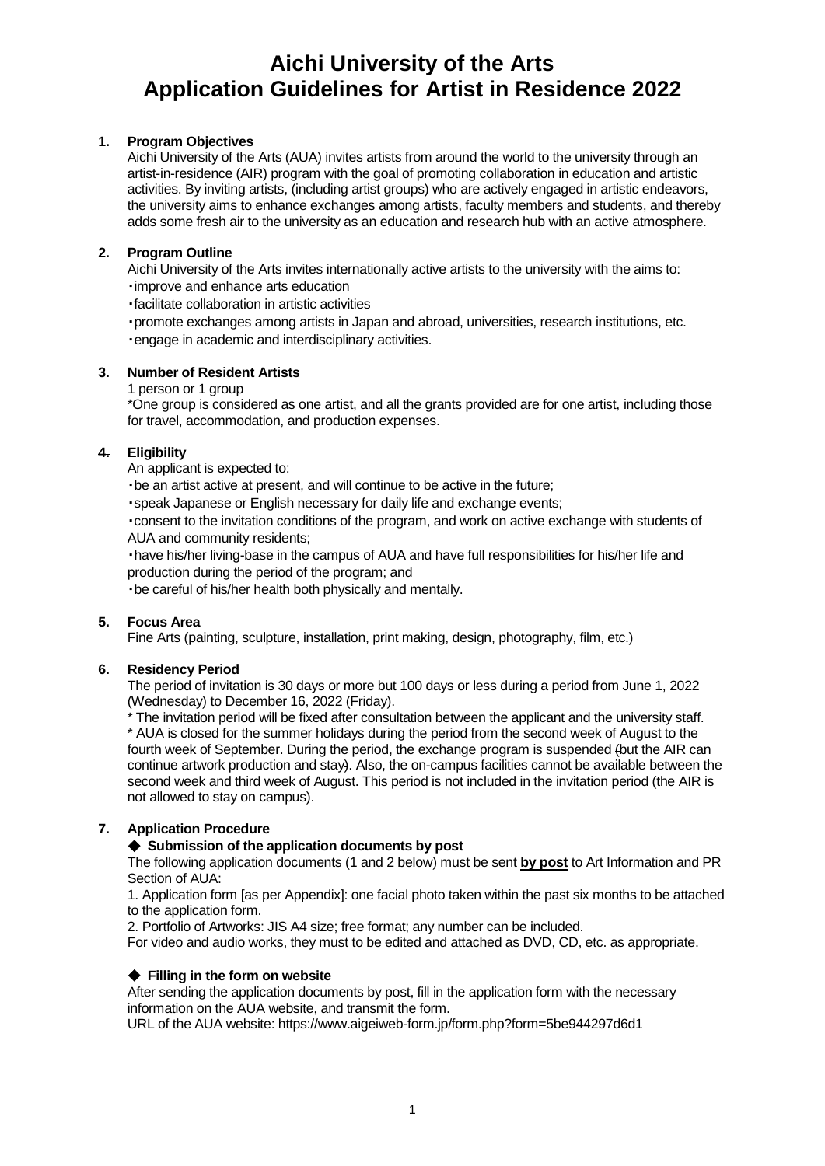# **Aichi University of the Arts Application Guidelines for Artist in Residence 2022**

## **1. Program Objectives**

Aichi University of the Arts (AUA) invites artists from around the world to the university through an artist-in-residence (AIR) program with the goal of promoting collaboration in education and artistic activities. By inviting artists, (including artist groups) who are actively engaged in artistic endeavors, the university aims to enhance exchanges among artists, faculty members and students, and thereby adds some fresh air to the university as an education and research hub with an active atmosphere.

## **2. Program Outline**

Aichi University of the Arts invites internationally active artists to the university with the aims to: ・improve and enhance arts education

・facilitate collaboration in artistic activities

・promote exchanges among artists in Japan and abroad, universities, research institutions, etc. ・engage in academic and interdisciplinary activities.

## **3. Number of Resident Artists**

1 person or 1 group

\*One group is considered as one artist, and all the grants provided are for one artist, including those for travel, accommodation, and production expenses.

## **4. Eligibility**

An applicant is expected to:

・be an artist active at present, and will continue to be active in the future;

・speak Japanese or English necessary for daily life and exchange events;

・consent to the invitation conditions of the program, and work on active exchange with students of AUA and community residents;

・have his/her living-base in the campus of AUA and have full responsibilities for his/her life and production during the period of the program; and

・be careful of his/her health both physically and mentally.

## **5. Focus Area**

Fine Arts (painting, sculpture, installation, print making, design, photography, film, etc.)

## **6. Residency Period**

The period of invitation is 30 days or more but 100 days or less during a period from June 1, 2022 (Wednesday) to December 16, 2022 (Friday).

\* The invitation period will be fixed after consultation between the applicant and the university staff. \* AUA is closed for the summer holidays during the period from the second week of August to the fourth week of September. During the period, the exchange program is suspended (but the AIR can continue artwork production and stay). Also, the on-campus facilities cannot be available between the second week and third week of August. This period is not included in the invitation period (the AIR is not allowed to stay on campus).

# **7. Application Procedure**

## ◆ **Submission of the application documents by post**

The following application documents (1 and 2 below) must be sent **by post** to Art Information and PR Section of AUA:

1. Application form [as per Appendix]: one facial photo taken within the past six months to be attached to the application form.

2. Portfolio of Artworks: JIS A4 size; free format; any number can be included.

For video and audio works, they must to be edited and attached as DVD, CD, etc. as appropriate.

## ◆ **Filling in the form on website**

After sending the application documents by post, fill in the application form with the necessary information on the AUA website, and transmit the form.

URL of the AUA website: https://www.aigeiweb-form.jp/form.php?form=5be944297d6d1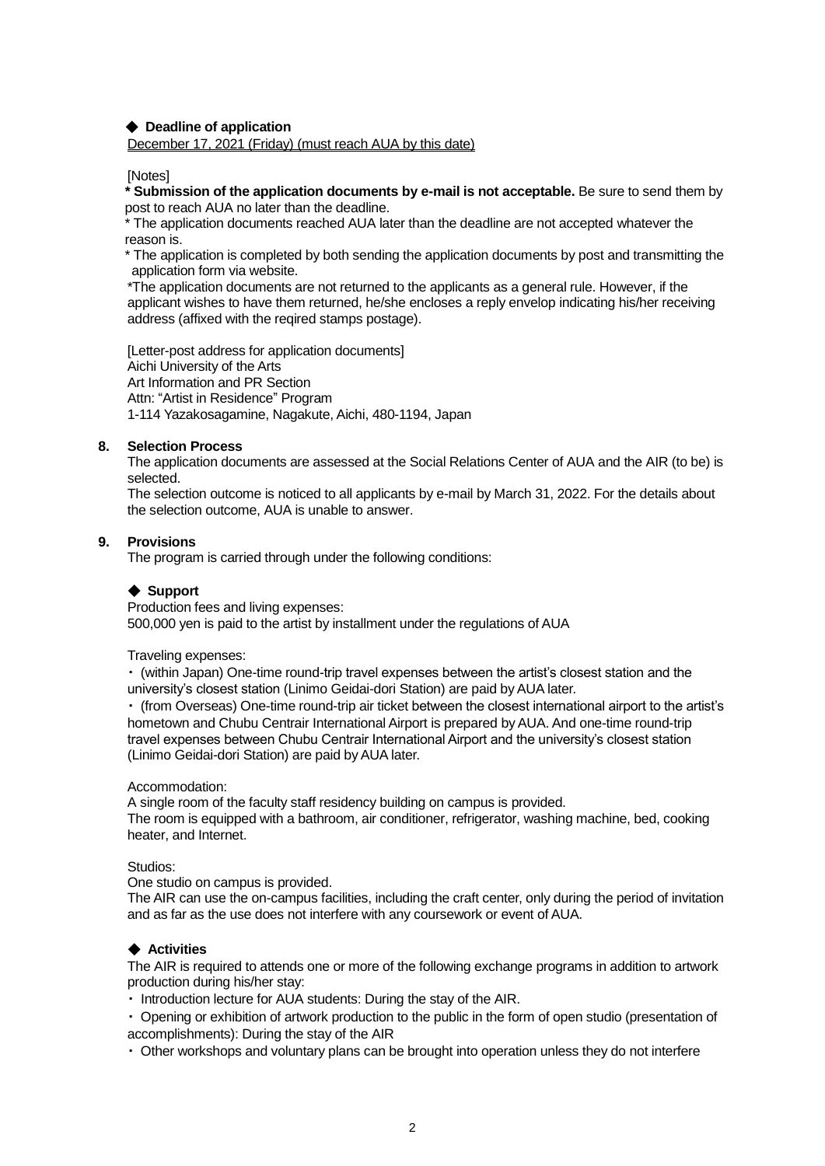## ◆ **Deadline of application**

December 17, 2021 (Friday) (must reach AUA by this date)

### [Notes]

**\* Submission of the application documents by e-mail is not acceptable.** Be sure to send them by post to reach AUA no later than the deadline.

\* The application documents reached AUA later than the deadline are not accepted whatever the reason is.

\* The application is completed by both sending the application documents by post and transmitting the application form via website.

\*The application documents are not returned to the applicants as a general rule. However, if the applicant wishes to have them returned, he/she encloses a reply envelop indicating his/her receiving address (affixed with the reqired stamps postage).

[Letter-post address for application documents] Aichi University of the Arts Art Information and PR Section Attn: "Artist in Residence" Program 1-114 Yazakosagamine, Nagakute, Aichi, 480-1194, Japan

#### **8. Selection Process**

The application documents are assessed at the Social Relations Center of AUA and the AIR (to be) is selected.

The selection outcome is noticed to all applicants by e-mail by March 31, 2022. For the details about the selection outcome, AUA is unable to answer.

#### **9. Provisions**

The program is carried through under the following conditions:

#### ◆ **Support**

Production fees and living expenses: 500,000 yen is paid to the artist by installment under the regulations of AUA

#### Traveling expenses:

・ (within Japan) One-time round-trip travel expenses between the artist's closest station and the university's closest station (Linimo Geidai-dori Station) are paid by AUA later.

・ (from Overseas) One-time round-trip air ticket between the closest international airport to the artist's hometown and Chubu Centrair International Airport is prepared by AUA. And one-time round-trip travel expenses between Chubu Centrair International Airport and the university's closest station (Linimo Geidai-dori Station) are paid by AUA later.

#### Accommodation:

A single room of the faculty staff residency building on campus is provided. The room is equipped with a bathroom, air conditioner, refrigerator, washing machine, bed, cooking heater, and Internet.

#### Studios:

One studio on campus is provided.

The AIR can use the on-campus facilities, including the craft center, only during the period of invitation and as far as the use does not interfere with any coursework or event of AUA.

## ◆ **Activities**

The AIR is required to attends one or more of the following exchange programs in addition to artwork production during his/her stay:

・ Introduction lecture for AUA students: During the stay of the AIR.

・ Opening or exhibition of artwork production to the public in the form of open studio (presentation of accomplishments): During the stay of the AIR

・ Other workshops and voluntary plans can be brought into operation unless they do not interfere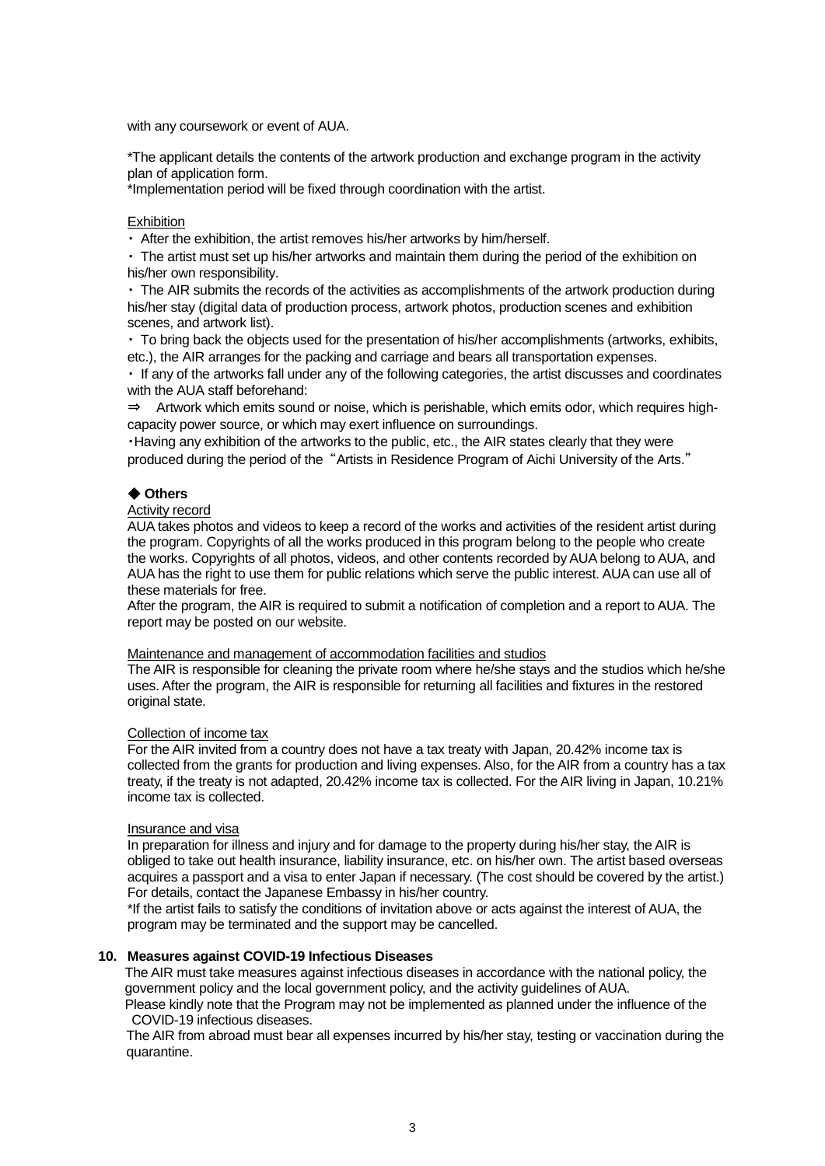with any coursework or event of AUA.

\*The applicant details the contents of the artwork production and exchange program in the activity plan of application form.

\*Implementation period will be fixed through coordination with the artist.

#### **Exhibition**

・ After the exhibition, the artist removes his/her artworks by him/herself.

・ The artist must set up his/her artworks and maintain them during the period of the exhibition on his/her own responsibility.

・ The AIR submits the records of the activities as accomplishments of the artwork production during his/her stay (digital data of production process, artwork photos, production scenes and exhibition scenes, and artwork list).

・ To bring back the objects used for the presentation of his/her accomplishments (artworks, exhibits, etc.), the AIR arranges for the packing and carriage and bears all transportation expenses.

・ If any of the artworks fall under any of the following categories, the artist discusses and coordinates with the AUA staff beforehand:

⇒ Artwork which emits sound or noise, which is perishable, which emits odor, which requires highcapacity power source, or which may exert influence on surroundings.

・Having any exhibition of the artworks to the public, etc., the AIR states clearly that they were produced during the period of the "Artists in Residence Program of Aichi University of the Arts."

#### ◆ **Others**

#### Activity record

AUA takes photos and videos to keep a record of the works and activities of the resident artist during the program. Copyrights of all the works produced in this program belong to the people who create the works. Copyrights of all photos, videos, and other contents recorded by AUA belong to AUA, and AUA has the right to use them for public relations which serve the public interest. AUA can use all of these materials for free.

After the program, the AIR is required to submit a notification of completion and a report to AUA. The report may be posted on our website.

## Maintenance and management of accommodation facilities and studios

The AIR is responsible for cleaning the private room where he/she stays and the studios which he/she uses. After the program, the AIR is responsible for returning all facilities and fixtures in the restored original state.

#### Collection of income tax

For the AIR invited from a country does not have a tax treaty with Japan, 20.42% income tax is collected from the grants for production and living expenses. Also, for the AIR from a country has a tax treaty, if the treaty is not adapted, 20.42% income tax is collected. For the AIR living in Japan, 10.21% income tax is collected.

#### Insurance and visa

In preparation for illness and injury and for damage to the property during his/her stay, the AIR is obliged to take out health insurance, liability insurance, etc. on his/her own. The artist based overseas acquires a passport and a visa to enter Japan if necessary. (The cost should be covered by the artist.) For details, contact the Japanese Embassy in his/her country.

\*If the artist fails to satisfy the conditions of invitation above or acts against the interest of AUA, the program may be terminated and the support may be cancelled.

#### **10. Measures against COVID-19 Infectious Diseases**

The AIR must take measures against infectious diseases in accordance with the national policy, the government policy and the local government policy, and the activity guidelines of AUA.

Please kindly note that the Program may not be implemented as planned under the influence of the COVID-19 infectious diseases.

The AIR from abroad must bear all expenses incurred by his/her stay, testing or vaccination during the quarantine.